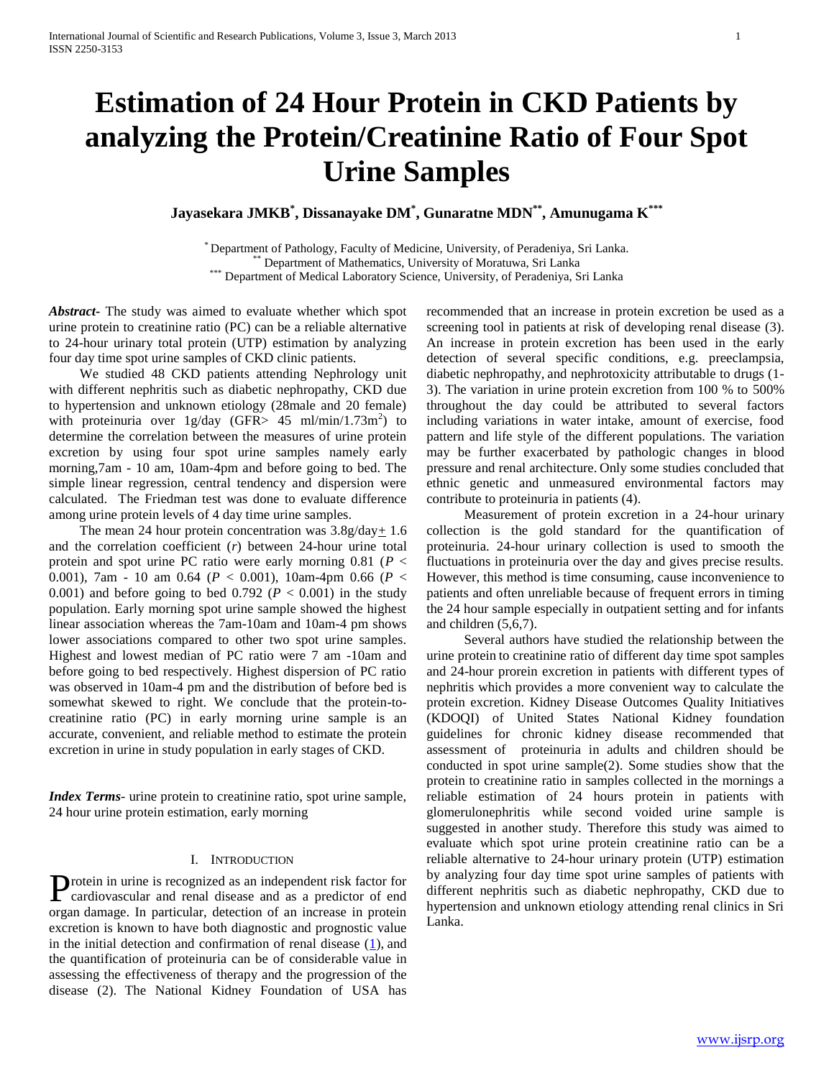# **Estimation of 24 Hour Protein in CKD Patients by analyzing the Protein/Creatinine Ratio of Four Spot Urine Samples**

**Jayasekara JMKB\* , Dissanayake DM\* , Gunaratne MDN\*\* , Amunugama K\*\*\***

\* Department of Pathology, Faculty of Medicine, University, of Peradeniya, Sri Lanka. Department of Mathematics, University of Moratuwa, Sri Lanka \*\*\* Department of Medical Laboratory Science, University, of Peradeniya, Sri Lanka

*Abstract***-** The study was aimed to evaluate whether which spot urine protein to creatinine ratio (PC) can be a reliable alternative to 24-hour urinary total protein (UTP) estimation by analyzing four day time spot urine samples of CKD clinic patients.

 We studied 48 CKD patients attending Nephrology unit with different nephritis such as diabetic nephropathy, CKD due to hypertension and unknown etiology (28male and 20 female) with proteinuria over  $1g/day$  (GFR> 45 ml/min/1.73m<sup>2</sup>) to determine the correlation between the measures of urine protein excretion by using four spot urine samples namely early morning,7am - 10 am, 10am-4pm and before going to bed. The simple linear regression, central tendency and dispersion were calculated. The Friedman test was done to evaluate difference among urine protein levels of 4 day time urine samples.

The mean 24 hour protein concentration was  $3.8g/day \pm 1.6$ and the correlation coefficient (*r*) between 24-hour urine total protein and spot urine PC ratio were early morning 0.81 (*P* < 0.001), 7am - 10 am 0.64 (*P* < 0.001), 10am-4pm 0.66 (*P* < 0.001) and before going to bed 0.792 ( $P < 0.001$ ) in the study population. Early morning spot urine sample showed the highest linear association whereas the 7am-10am and 10am-4 pm shows lower associations compared to other two spot urine samples. Highest and lowest median of PC ratio were 7 am -10am and before going to bed respectively. Highest dispersion of PC ratio was observed in 10am-4 pm and the distribution of before bed is somewhat skewed to right. We conclude that the protein-tocreatinine ratio (PC) in early morning urine sample is an accurate, convenient, and reliable method to estimate the protein excretion in urine in study population in early stages of CKD.

*Index Terms*- urine protein to creatinine ratio, spot urine sample, 24 hour urine protein estimation, early morning

#### I. INTRODUCTION

rotein in urine is recognized as an independent risk factor for Protein in urine is recognized as an independent risk factor for cardiovascular and renal disease and as a predictor of end organ damage. In particular, detection of an increase in protein excretion is known to have both diagnostic and prognostic value in the initial detection and confirmation of renal disease  $(1)$ , and the quantification of proteinuria can be of considerable value in assessing the effectiveness of therapy and the progression of the disease (2). The National Kidney Foundation of USA has

recommended that an increase in protein excretion be used as a screening tool in patients at risk of developing renal disease (3). An increase in protein excretion has been used in the early detection of several specific conditions, e.g. preeclampsia, diabetic nephropathy, and nephrotoxicity attributable to drugs (1- 3). The variation in urine protein excretion from 100 % to 500% throughout the day could be attributed to several factors including variations in water intake, amount of exercise, food pattern and life style of the different populations. The variation may be further exacerbated by pathologic changes in blood pressure and renal architecture. Only some studies concluded that ethnic genetic and unmeasured environmental factors may contribute to proteinuria in patients (4).

 Measurement of protein excretion in a 24-hour urinary collection is the gold standard for the quantification of proteinuria. 24-hour urinary collection is used to smooth the fluctuations in proteinuria over the day and gives precise results. However, this method is time consuming, cause inconvenience to patients and often unreliable because of frequent errors in timing the 24 hour sample especially in outpatient setting and for infants and children (5,6,7).

 Several authors have studied the relationship between the urine protein to creatinine ratio of different day time spot samples and 24-hour prorein excretion in patients with different types of nephritis which provides a more convenient way to calculate the protein excretion. Kidney Disease Outcomes Quality Initiatives (KDOQI) of United States National Kidney foundation guidelines for chronic kidney disease recommended that assessment of proteinuria in adults and children should be conducted in spot urine sample(2). Some studies show that the protein to creatinine ratio in samples collected in the mornings a reliable estimation of 24 hours protein in patients with glomerulonephritis while second voided urine sample is suggested in another study. Therefore this study was aimed to evaluate which spot urine protein creatinine ratio can be a reliable alternative to 24-hour urinary protein (UTP) estimation by analyzing four day time spot urine samples of patients with different nephritis such as diabetic nephropathy, CKD due to hypertension and unknown etiology attending renal clinics in Sri Lanka.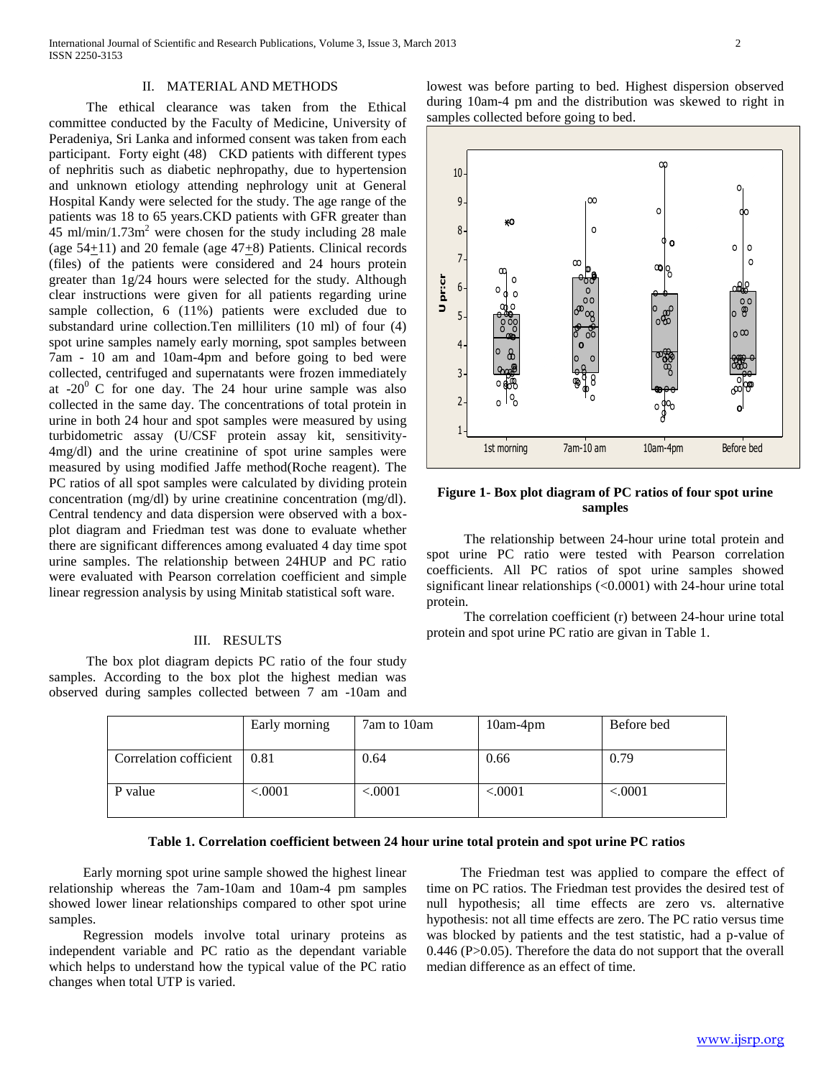International Journal of Scientific and Research Publications, Volume 3, Issue 3, March 2013 2 ISSN 2250-3153

### II. MATERIAL AND METHODS

 The ethical clearance was taken from the Ethical committee conducted by the Faculty of Medicine, University of Peradeniya, Sri Lanka and informed consent was taken from each participant. Forty eight (48) CKD patients with different types of nephritis such as diabetic nephropathy, due to hypertension and unknown etiology attending nephrology unit at General Hospital Kandy were selected for the study. The age range of the patients was 18 to 65 years.CKD patients with GFR greater than  $45$  ml/min/1.73m<sup>2</sup> were chosen for the study including 28 male (age 54+11) and 20 female (age 47+8) Patients. Clinical records (files) of the patients were considered and 24 hours protein greater than 1g/24 hours were selected for the study. Although clear instructions were given for all patients regarding urine sample collection, 6 (11%) patients were excluded due to substandard urine collection.Ten milliliters (10 ml) of four (4) spot urine samples namely early morning, spot samples between 7am - 10 am and 10am-4pm and before going to bed were collected, centrifuged and supernatants were frozen immediately at  $-20^{\circ}$  C for one day. The 24 hour urine sample was also collected in the same day. The concentrations of total protein in urine in both 24 hour and spot samples were measured by using turbidometric assay (U/CSF protein assay kit, sensitivity-4mg/dl) and the urine creatinine of spot urine samples were measured by using modified Jaffe method(Roche reagent). The PC ratios of all spot samples were calculated by dividing protein concentration (mg/dl) by urine creatinine concentration (mg/dl). Central tendency and data dispersion were observed with a boxplot diagram and Friedman test was done to evaluate whether there are significant differences among evaluated 4 day time spot urine samples. The relationship between 24HUP and PC ratio were evaluated with Pearson correlation coefficient and simple linear regression analysis by using Minitab statistical soft ware.

#### III. RESULTS

 The box plot diagram depicts PC ratio of the four study samples. According to the box plot the highest median was observed during samples collected between 7 am -10am and lowest was before parting to bed. Highest dispersion observed during 10am-4 pm and the distribution was skewed to right in samples collected before going to bed.



# **Figure 1- Box plot diagram of PC ratios of four spot urine samples**

 The relationship between 24-hour urine total protein and spot urine PC ratio were tested with Pearson correlation coefficients. All PC ratios of spot urine samples showed significant linear relationships (<0.0001) with 24-hour urine total protein.

 The correlation coefficient (r) between 24-hour urine total protein and spot urine PC ratio are givan in Table 1.

|                             | Early morning | 7am to 10am | $10am-4pm$ | Before bed |
|-----------------------------|---------------|-------------|------------|------------|
| Correlation cofficient 0.81 |               | 0.64        | 0.66       | 0.79       |
| P value                     | < .0001       | < .0001     | < .0001    | < .0001    |

# **Table 1. Correlation coefficient between 24 hour urine total protein and spot urine PC ratios**

 Early morning spot urine sample showed the highest linear relationship whereas the 7am-10am and 10am-4 pm samples showed lower linear relationships compared to other spot urine samples.

 Regression models involve total urinary proteins as independent variable and PC ratio as the dependant variable which helps to understand how the typical value of the PC ratio changes when total UTP is varied.

 The Friedman test was applied to compare the effect of time on PC ratios. The Friedman test provides the desired test of null hypothesis; all time effects are zero vs. alternative hypothesis: not all time effects are zero. The PC ratio versus time was blocked by patients and the test statistic, had a p-value of 0.446 (P>0.05). Therefore the data do not support that the overall median difference as an effect of time.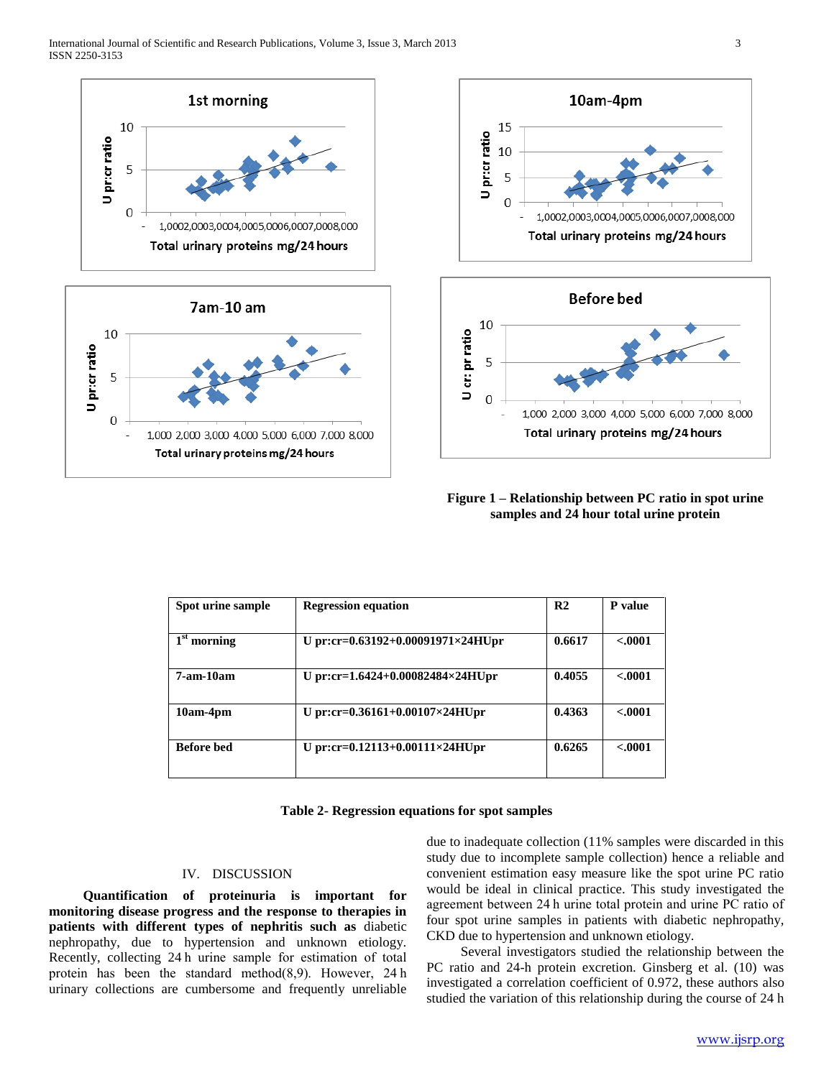







# **Figure 1 – Relationship between PC ratio in spot urine samples and 24 hour total urine protein**

| Spot urine sample          | <b>Regression equation</b>        | R <sub>2</sub> | P value  |
|----------------------------|-----------------------------------|----------------|----------|
|                            |                                   |                |          |
| 1 <sup>st</sup><br>morning | U pr:cr=0.63192+0.00091971×24HUpr | 0.6617         | $-.0001$ |
| $7-$ am-10am               | U pr:cr=1.6424+0.00082484×24HUpr  | 0.4055         | $-.0001$ |
| 10am-4pm                   | U pr:cr=0.36161+0.00107×24HUpr    | 0.4363         | < .0001  |
| <b>Before</b> bed          | U pr:cr=0.12113+0.00111×24HUpr    | 0.6265         | $-.0001$ |

#### **Table 2- Regression equations for spot samples**

# IV. DISCUSSION

 **Quantification of proteinuria is important for monitoring disease progress and the response to therapies in patients with different types of nephritis such as** diabetic nephropathy, due to hypertension and unknown etiology. Recently, collecting 24 h urine sample for estimation of total protein has been the standard method(8,9). However, 24 h urinary collections are cumbersome and frequently unreliable

due to inadequate collection (11% samples were discarded in this study due to incomplete sample collection) hence a reliable and convenient estimation easy measure like the spot urine PC ratio would be ideal in clinical practice. This study investigated the agreement between 24 h urine total protein and urine PC ratio of four spot urine samples in patients with diabetic nephropathy, CKD due to hypertension and unknown etiology.

 Several investigators studied the relationship between the PC ratio and 24-h protein excretion. Ginsberg et al. (10) was investigated a correlation coefficient of 0.972, these authors also studied the variation of this relationship during the course of 24 h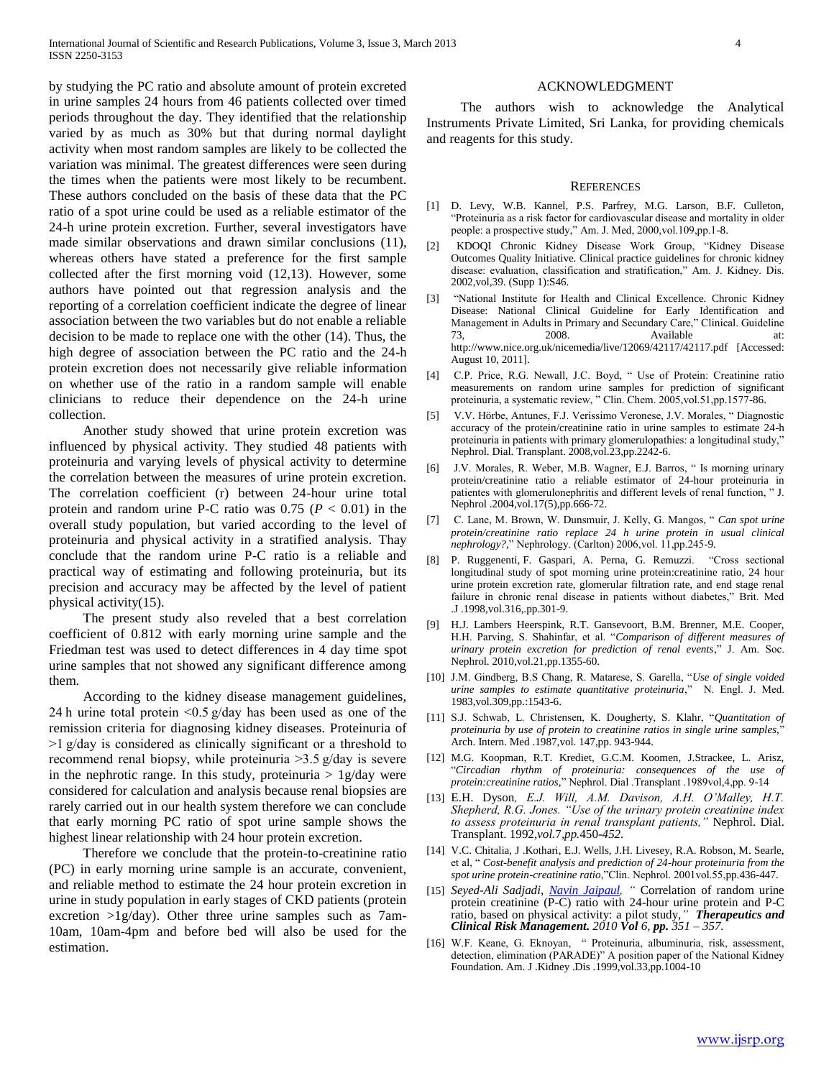by studying the PC ratio and absolute amount of protein excreted in urine samples 24 hours from 46 patients collected over timed periods throughout the day. They identified that the relationship varied by as much as 30% but that during normal daylight activity when most random samples are likely to be collected the variation was minimal. The greatest differences were seen during the times when the patients were most likely to be recumbent. These authors concluded on the basis of these data that the PC ratio of a spot urine could be used as a reliable estimator of the 24-h urine protein excretion. Further, several investigators have made similar observations and drawn similar conclusions (11), whereas others have stated a preference for the first sample collected after the first morning void (12,13). However, some authors have pointed out that regression analysis and the reporting of a correlation coefficient indicate the degree of linear association between the two variables but do not enable a reliable decision to be made to replace one with the other (14). Thus, the high degree of association between the PC ratio and the 24-h protein excretion does not necessarily give reliable information on whether use of the ratio in a random sample will enable clinicians to reduce their dependence on the 24-h urine collection.

 Another study showed that urine protein excretion was influenced by physical activity. They studied 48 patients with proteinuria and varying levels of physical activity to determine the correlation between the measures of urine protein excretion. The correlation coefficient (r) between 24-hour urine total protein and random urine P-C ratio was  $0.75$  ( $P < 0.01$ ) in the overall study population, but varied according to the level of proteinuria and physical activity in a stratified analysis. Thay conclude that the random urine P-C ratio is a reliable and practical way of estimating and following proteinuria, but its precision and accuracy may be affected by the level of patient physical activity(15).

 The present study also reveled that a best correlation coefficient of 0.812 with early morning urine sample and the Friedman test was used to detect differences in 4 day time spot urine samples that not showed any significant difference among them.

 According to the kidney disease management guidelines, 24 h urine total protein <0.5 g/day has been used as one of the remission criteria for diagnosing kidney diseases. Proteinuria of >1 g/day is considered as clinically significant or a threshold to recommend renal biopsy, while proteinuria >3.5 g/day is severe in the nephrotic range. In this study, proteinuria  $> 1g/day$  were considered for calculation and analysis because renal biopsies are rarely carried out in our health system therefore we can conclude that early morning PC ratio of spot urine sample shows the highest linear relationship with 24 hour protein excretion.

 Therefore we conclude that the protein-to-creatinine ratio (PC) in early morning urine sample is an accurate, convenient, and reliable method to estimate the 24 hour protein excretion in urine in study population in early stages of CKD patients (protein excretion >1g/day). Other three urine samples such as 7am-10am, 10am-4pm and before bed will also be used for the estimation.

#### ACKNOWLEDGMENT

 The authors wish to acknowledge the Analytical Instruments Private Limited, Sri Lanka, for providing chemicals and reagents for this study.

#### **REFERENCES**

- [1] D. Levy, W.B. Kannel, P.S. Parfrey, M.G. Larson, B.F. Culleton, "Proteinuria as a risk factor for cardiovascular disease and mortality in older people: a prospective study," Am. J. Med, 2000,vol.109,pp.1-8.
- [2] KDOQI Chronic Kidney Disease Work Group, "Kidney Disease Outcomes Quality Initiative. Clinical practice guidelines for chronic kidney disease: evaluation, classification and stratification," Am. J. Kidney. Dis. 2002,vol,39. (Supp 1):S46.
- [3] "National Institute for Health and Clinical Excellence. Chronic Kidney Disease: National Clinical Guideline for Early Identification and Management in Adults in Primary and Secundary Care," Clinical. Guideline 73, 2008. Available at: http://www.nice.org.uk/nicemedia/live/12069/42117/42117.pdf [Accessed: August 10, 2011].
- [4] C.P. Price, R.G. Newall, J.C. Boyd, " Use of Protein: Creatinine ratio measurements on random urine samples for prediction of significant proteinuria, a systematic review, " Clin. Chem. 2005,vol.51,pp.1577-86.
- [5] V.V. Hörbe, Antunes, F.J. Veríssimo Veronese, J.V. Morales, " Diagnostic accuracy of the protein/creatinine ratio in urine samples to estimate 24-h proteinuria in patients with primary glomerulopathies: a longitudinal study," Nephrol. Dial. Transplant. 2008,vol.23,pp.2242-6.
- [6] J.V. Morales, R. Weber, M.B. Wagner, E.J. Barros, " Is morning urinary protein/creatinine ratio a reliable estimator of 24-hour proteinuria in patientes with glomerulonephritis and different levels of renal function, " J. Nephrol .2004,vol.17(5),pp.666-72.
- [7] C. Lane, M. Brown, W. Dunsmuir, J. Kelly, G. Mangos, " *Can spot urine protein/creatinine ratio replace 24 h urine protein in usual clinical nephrology?,*" Nephrology. (Carlton) 2006,vol. 11,pp.245-9.
- [8] P. Ruggenenti, F. Gaspari, A. Perna, G. Remuzzi. "Cross sectional longitudinal study of spot morning urine protein:creatinine ratio, 24 hour urine protein excretion rate, glomerular filtration rate, and end stage renal failure in chronic renal disease in patients without diabetes," Brit. Med .J .1998,vol.316,.pp.301-9.
- [9] H.J. Lambers Heerspink, R.T. Gansevoort, B.M. Brenner, M.E. Cooper, H.H. Parving, S. Shahinfar, et al. "*Comparison of different measures of urinary protein excretion for prediction of renal events*," J. Am. Soc. Nephrol. 2010,vol.21,pp.1355-60.
- [10] J.M. Gindberg, B.S Chang, R. Matarese, S. Garella, "*Use of single voided urine samples to estimate quantitative proteinuria*," N. Engl. J. Med. 1983,vol.309,pp.:1543-6.
- [11] S.J. Schwab, L. Christensen, K. Dougherty, S. Klahr, "*Quantitation of proteinuria by use of protein to creatinine ratios in single urine samples,*" Arch. Intern. Med .1987,vol. 147,pp. 943-944.
- [12] M.G. Koopman, R.T. Krediet, G.C.M. Koomen, J.Strackee, L. Arisz, "*Circadian rhythm of proteinuria: consequences of the use of protein:creatinine ratios,*" Nephrol. Dial .Transplant .1989vol,4,pp. 9-14
- [13] E.H. Dyson*, E.J. Will, A.M. Davison, A.H. O'Malley, H.T. Shepherd, R.G. Jones. "Use of the urinary protein creatinine index to assess proteinuria in renal transplant patients,"* Nephrol. Dial. Transplant. 1992*,vol.*7*,pp.*450*-452.*
- [14] V.C. Chitalia, J .Kothari, E.J. Wells, J.H. Livesey, R.A. Robson, M. Searle, et al, " *Cost-benefit analysis and prediction of 24-hour proteinuria from the spot urine protein-creatinine ratio*,"Clin. Nephrol. 2001vol.55,pp.436-447.
- [15] *Seyed-Ali Sadjadi, [Navin Jaipaul,](file:///D:\24%20hour%20papers\correlation-of-random-urine-protein-creatinine-p-c-ratio-with-24-hour--peer-reviewed-article-TCRM.htm%23other_articles) "* Correlation of random urine protein creatinine (P-C) ratio with 24-hour urine protein and P-C ratio, based on physical activity: a pilot study,*" [Therapeutics and](http://www.dovepress.com/therapeutics-and-clinical-risk-management-journal)  [Clinical Risk Management.](http://www.dovepress.com/therapeutics-and-clinical-risk-management-journal) 2010 Vol 6, pp. 351 – 357.*
- [16] W.F. Keane, G. Eknoyan, " Proteinuria, albuminuria, risk, assessment, detection, elimination (PARADE)" A position paper of the National Kidney Foundation. Am. J .Kidney .Dis .1999,vol.33,pp.1004-10